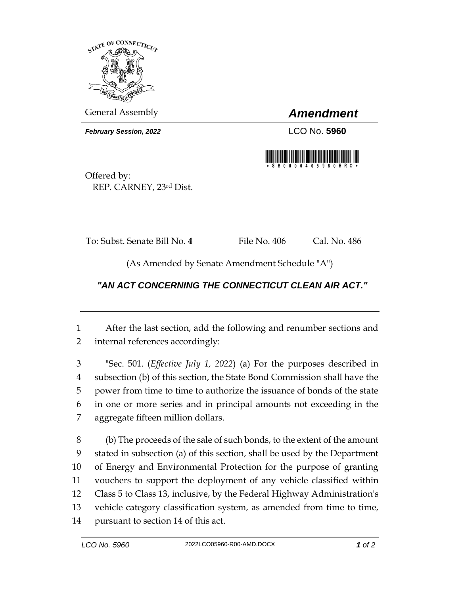

General Assembly *Amendment*

*February Session, 2022* LCO No. 5960



Offered by: REP. CARNEY, 23rd Dist.

To: Subst. Senate Bill No. **4** File No. 406 Cal. No. 486

(As Amended by Senate Amendment Schedule "A")

## *"AN ACT CONCERNING THE CONNECTICUT CLEAN AIR ACT."*

 After the last section, add the following and renumber sections and internal references accordingly:

 "Sec. 501. (*Effective July 1, 2022*) (a) For the purposes described in subsection (b) of this section, the State Bond Commission shall have the power from time to time to authorize the issuance of bonds of the state in one or more series and in principal amounts not exceeding in the aggregate fifteen million dollars.

 (b) The proceeds of the sale of such bonds, to the extent of the amount stated in subsection (a) of this section, shall be used by the Department of Energy and Environmental Protection for the purpose of granting vouchers to support the deployment of any vehicle classified within Class 5 to Class 13, inclusive, by the Federal Highway Administration's vehicle category classification system, as amended from time to time, pursuant to section 14 of this act.